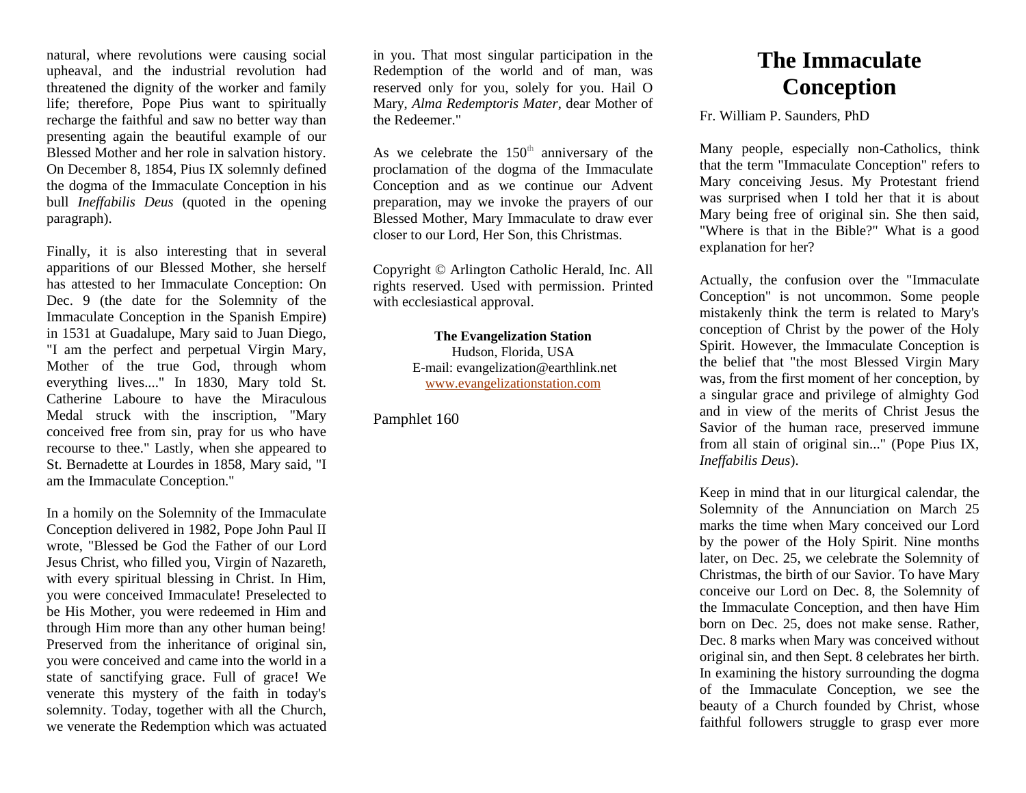natural, where revolutions were causing social upheaval, and the industrial revolution had threatened the dignity of the worker and family life; therefore, Pope Pius want to spiritually recharge the faithful and saw no better way than presenting again the beautiful example of our Blessed Mother and her role in salvation history. On December 8, 1854, Pius IX solemnly defined the dogma of the Immaculate Conception in his bull *Ineffabilis Deus* (quoted in the opening paragraph).

Finally, it is also interesting that in several apparitions of our Blessed Mother, she herself has attested to her Immaculate Conception: On Dec. 9 (the date for the Solemnity of the Immaculate Conception in the Spanish Empire) in 1531 at Guadalupe, Mary said to Juan Diego, "I am the perfect and perpetual Virgin Mary, Mother of the true God, through whom everything lives...." In 1830, Mary told St. Catherine Laboure to have the Miraculous Medal struck with the inscription, "Mary conceived free from sin, pray for us who have recourse to thee." Lastly, when she appeared to St. Bernadette at Lourdes in 1858, Mary said, "I am the Immaculate Conception."

In a homily on the Solemnity of the Immaculate Conception delivered in 1982, Pope John Paul II wrote, "Blessed be God the Father of our Lord Jesus Christ, who filled you, Virgin of Nazareth, with every spiritual blessing in Christ. In Him, you were conceived Immaculate! Preselected to be His Mother, you were redeemed in Him and through Him more than any other human being! Preserved from the inheritance of original sin, you were conceived and came into the world in a state of sanctifying grace. Full of grace! We venerate this mystery of the faith in today's solemnity. Today, together with all the Church, we venerate the Redemption which was actuated

in you. That most singular participation in the Redemption of the world and of man, was reserved only for you, solely for you. Hail O Mary, *Alma Redemptoris Mater*, dear Mother of the Redeemer."

As we celebrate the  $150<sup>th</sup>$  anniversary of the proclamation of the dogma of the Immaculate Conception and as we continue our Advent preparation, may we invoke the prayers of our Blessed Mother, Mary Immaculate to draw ever closer to our Lord, Her Son, this Christmas.

Copyright © Arlington Catholic Herald, Inc. All rights reserved. Used with permission. Printed with ecclesiastical approval.

> **The Evangelization Station** Hudson, Florida, USA E-mail: evangelization@earthlink.net [www.evangelizationstation.com](http://www.pjpiisoe.org/)

Pamphlet 160

## **The Immaculate Conception**

Fr. William P. Saunders, PhD

Many people, especially non-Catholics, think that the term "Immaculate Conception" refers to Mary conceiving Jesus. My Protestant friend was surprised when I told her that it is about Mary being free of original sin. She then said, "Where is that in the Bible?" What is a good explanation for her?

Actually, the confusion over the "Immaculate Conception" is not uncommon. Some people mistakenly think the term is related to Mary's conception of Christ by the power of the Holy Spirit. However, the Immaculate Conception is the belief that "the most Blessed Virgin Mary was, from the first moment of her conception, by a singular grace and privilege of almighty God and in view of the merits of Christ Jesus the Savior of the human race, preserved immune from all stain of original sin..." (Pope Pius IX, *Ineffabilis Deus*).

Keep in mind that in our liturgical calendar, the Solemnity of the Annunciation on March 25 marks the time when Mary conceived our Lord by the power of the Holy Spirit. Nine months later, on Dec. 25, we celebrate the Solemnity of Christmas, the birth of our Savior. To have Mary conceive our Lord on Dec. 8, the Solemnity of the Immaculate Conception, and then have Him born on Dec. 25, does not make sense. Rather, Dec. 8 marks when Mary was conceived without original sin, and then Sept. 8 celebrates her birth. In examining the history surrounding the dogma of the Immaculate Conception, we see the beauty of a Church founded by Christ, whose faithful followers struggle to grasp ever more